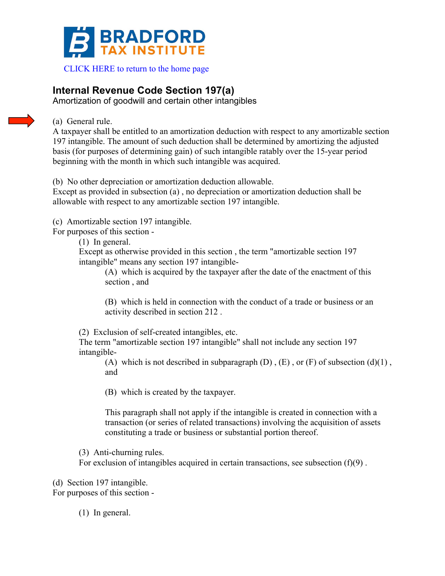

 [CLICK HERE to return to the home page](www.bradfordtaxinstitute.com) 

# **Internal Revenue Code Section 197(a)**

Amortization of goodwill and certain other intangibles

# (a) General rule.

A taxpayer shall be entitled to an amortization deduction with respect to any amortizable section 197 intangible. The amount of such deduction shall be determined by amortizing the adjusted basis (for purposes of determining gain) of such intangible ratably over the 15-year period beginning with the month in which such intangible was acquired.

(b) No other depreciation or amortization deduction allowable.

Except as provided in subsection (a) , no depreciation or amortization deduction shall be allowable with respect to any amortizable section 197 intangible.

(c) Amortizable section 197 intangible.

For purposes of this section -

(1) In general.

Except as otherwise provided in this section , the term "amortizable section 197 intangible" means any section 197 intangible-

(A) which is acquired by the taxpayer after the date of the enactment of this section , and

(B) which is held in connection with the conduct of a trade or business or an activity described in section 212 .

(2) Exclusion of self-created intangibles, etc.

The term "amortizable section 197 intangible" shall not include any section 197 intangible-

(A) which is not described in subparagraph  $(D)$ ,  $(E)$ , or  $(F)$  of subsection  $(d)(1)$ , and

(B) which is created by the taxpayer.

This paragraph shall not apply if the intangible is created in connection with a transaction (or series of related transactions) involving the acquisition of assets constituting a trade or business or substantial portion thereof.

(3) Anti-churning rules.

For exclusion of intangibles acquired in certain transactions, see subsection  $(f)(9)$ .

(d) Section 197 intangible.

For purposes of this section -

(1) In general.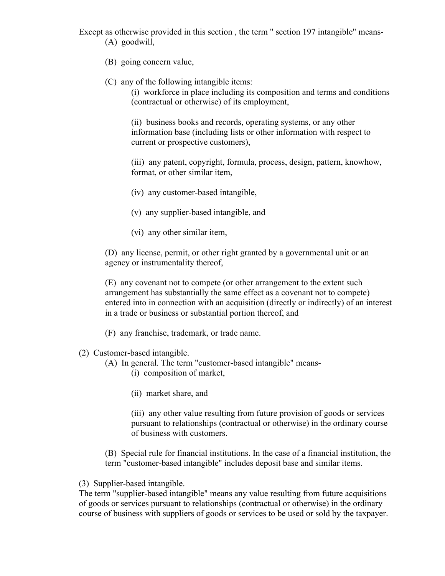Except as otherwise provided in this section , the term " section 197 intangible" means- (A) goodwill,

- (B) going concern value,
- (C) any of the following intangible items:

(i) workforce in place including its composition and terms and conditions (contractual or otherwise) of its employment,

(ii) business books and records, operating systems, or any other information base (including lists or other information with respect to current or prospective customers),

(iii) any patent, copyright, formula, process, design, pattern, knowhow, format, or other similar item,

- (iv) any customer-based intangible,
- (v) any supplier-based intangible, and
- (vi) any other similar item,

(D) any license, permit, or other right granted by a governmental unit or an agency or instrumentality thereof,

(E) any covenant not to compete (or other arrangement to the extent such arrangement has substantially the same effect as a covenant not to compete) entered into in connection with an acquisition (directly or indirectly) of an interest in a trade or business or substantial portion thereof, and

- (F) any franchise, trademark, or trade name.
- (2) Customer-based intangible.
	- (A) In general. The term "customer-based intangible" means-
		- (i) composition of market,
		- (ii) market share, and

(iii) any other value resulting from future provision of goods or services pursuant to relationships (contractual or otherwise) in the ordinary course of business with customers.

(B) Special rule for financial institutions. In the case of a financial institution, the term "customer-based intangible" includes deposit base and similar items.

(3) Supplier-based intangible.

The term "supplier-based intangible" means any value resulting from future acquisitions of goods or services pursuant to relationships (contractual or otherwise) in the ordinary course of business with suppliers of goods or services to be used or sold by the taxpayer.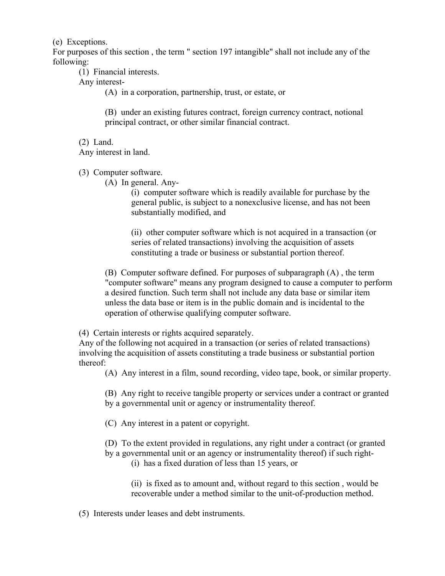(e) Exceptions.

For purposes of this section , the term " section 197 intangible" shall not include any of the following:

(1) Financial interests.

Any interest-

(A) in a corporation, partnership, trust, or estate, or

(B) under an existing futures contract, foreign currency contract, notional principal contract, or other similar financial contract.

(2) Land.

Any interest in land.

(3) Computer software.

(A) In general. Any-

(i) computer software which is readily available for purchase by the general public, is subject to a nonexclusive license, and has not been substantially modified, and

(ii) other computer software which is not acquired in a transaction (or series of related transactions) involving the acquisition of assets constituting a trade or business or substantial portion thereof.

(B) Computer software defined. For purposes of subparagraph (A) , the term "computer software" means any program designed to cause a computer to perform a desired function. Such term shall not include any data base or similar item unless the data base or item is in the public domain and is incidental to the operation of otherwise qualifying computer software.

(4) Certain interests or rights acquired separately.

Any of the following not acquired in a transaction (or series of related transactions) involving the acquisition of assets constituting a trade business or substantial portion thereof:

(A) Any interest in a film, sound recording, video tape, book, or similar property.

(B) Any right to receive tangible property or services under a contract or granted by a governmental unit or agency or instrumentality thereof.

(C) Any interest in a patent or copyright.

(D) To the extent provided in regulations, any right under a contract (or granted

by a governmental unit or an agency or instrumentality thereof) if such right- (i) has a fixed duration of less than 15 years, or

(ii) is fixed as to amount and, without regard to this section , would be recoverable under a method similar to the unit-of-production method.

(5) Interests under leases and debt instruments.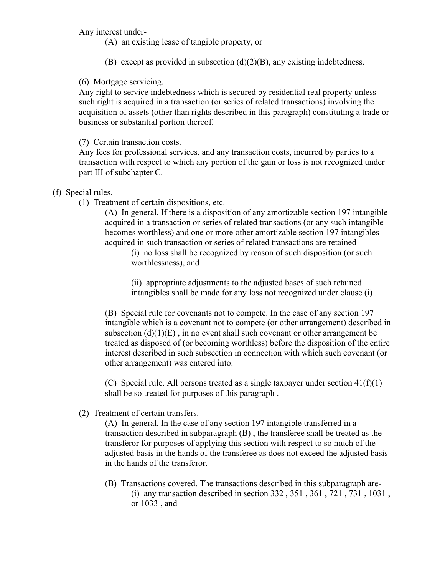Any interest under-

- (A) an existing lease of tangible property, or
- (B) except as provided in subsection  $(d)(2)(B)$ , any existing indebtedness.

## (6) Mortgage servicing.

Any right to service indebtedness which is secured by residential real property unless such right is acquired in a transaction (or series of related transactions) involving the acquisition of assets (other than rights described in this paragraph) constituting a trade or business or substantial portion thereof.

# (7) Certain transaction costs.

Any fees for professional services, and any transaction costs, incurred by parties to a transaction with respect to which any portion of the gain or loss is not recognized under part III of subchapter C.

## (f) Special rules.

(1) Treatment of certain dispositions, etc.

(A) In general. If there is a disposition of any amortizable section 197 intangible acquired in a transaction or series of related transactions (or any such intangible becomes worthless) and one or more other amortizable section 197 intangibles acquired in such transaction or series of related transactions are retained-

(i) no loss shall be recognized by reason of such disposition (or such worthlessness), and

(ii) appropriate adjustments to the adjusted bases of such retained intangibles shall be made for any loss not recognized under clause (i) .

(B) Special rule for covenants not to compete. In the case of any section 197 intangible which is a covenant not to compete (or other arrangement) described in subsection  $(d)(1)(E)$ , in no event shall such covenant or other arrangement be treated as disposed of (or becoming worthless) before the disposition of the entire interest described in such subsection in connection with which such covenant (or other arrangement) was entered into.

(C) Special rule. All persons treated as a single taxpayer under section  $41(f)(1)$ shall be so treated for purposes of this paragraph .

(2) Treatment of certain transfers.

(A) In general. In the case of any section 197 intangible transferred in a transaction described in subparagraph (B) , the transferee shall be treated as the transferor for purposes of applying this section with respect to so much of the adjusted basis in the hands of the transferee as does not exceed the adjusted basis in the hands of the transferor.

(B) Transactions covered. The transactions described in this subparagraph are- (i) any transaction described in section 332 , 351 , 361 , 721 , 731 , 1031 , or 1033 , and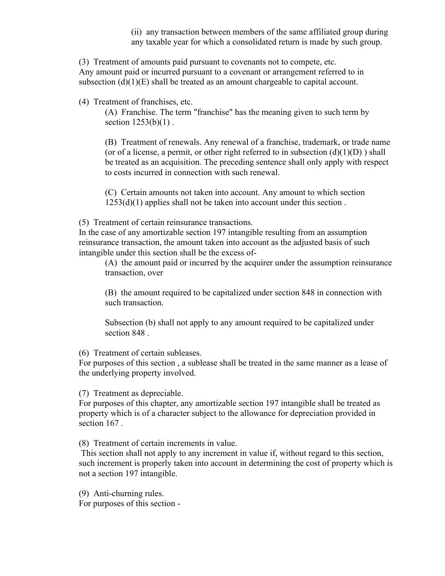(ii) any transaction between members of the same affiliated group during any taxable year for which a consolidated return is made by such group.

(3) Treatment of amounts paid pursuant to covenants not to compete, etc. Any amount paid or incurred pursuant to a covenant or arrangement referred to in subsection  $(d)(1)(E)$  shall be treated as an amount chargeable to capital account.

(4) Treatment of franchises, etc.

(A) Franchise. The term "franchise" has the meaning given to such term by section  $1253(b)(1)$ .

(B) Treatment of renewals. Any renewal of a franchise, trademark, or trade name (or of a license, a permit, or other right referred to in subsection  $(d)(1)(D)$ ) shall be treated as an acquisition. The preceding sentence shall only apply with respect to costs incurred in connection with such renewal.

(C) Certain amounts not taken into account. Any amount to which section  $1253(d)(1)$  applies shall not be taken into account under this section.

(5) Treatment of certain reinsurance transactions.

In the case of any amortizable section 197 intangible resulting from an assumption reinsurance transaction, the amount taken into account as the adjusted basis of such intangible under this section shall be the excess of-

(A) the amount paid or incurred by the acquirer under the assumption reinsurance transaction, over

(B) the amount required to be capitalized under section 848 in connection with such transaction.

Subsection (b) shall not apply to any amount required to be capitalized under section 848 .

(6) Treatment of certain subleases.

For purposes of this section , a sublease shall be treated in the same manner as a lease of the underlying property involved.

(7) Treatment as depreciable.

For purposes of this chapter, any amortizable section 197 intangible shall be treated as property which is of a character subject to the allowance for depreciation provided in section 167 .

(8) Treatment of certain increments in value.

This section shall not apply to any increment in value if, without regard to this section, such increment is properly taken into account in determining the cost of property which is not a section 197 intangible.

(9) Anti-churning rules.

For purposes of this section -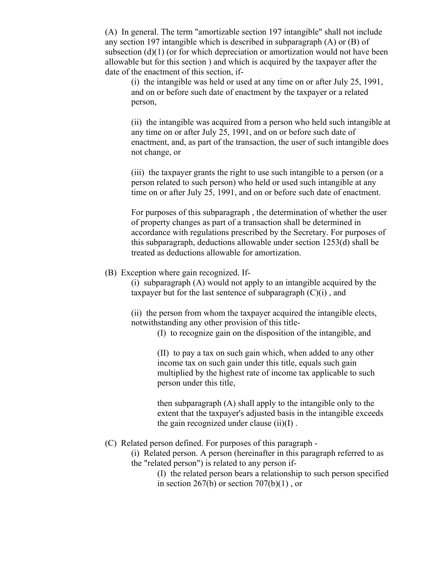(A) In general. The term "amortizable section 197 intangible" shall not include any section 197 intangible which is described in subparagraph (A) or (B) of subsection  $(d)(1)$  (or for which depreciation or amortization would not have been allowable but for this section ) and which is acquired by the taxpayer after the date of the enactment of this section, if-

(i) the intangible was held or used at any time on or after July 25, 1991, and on or before such date of enactment by the taxpayer or a related person,

(ii) the intangible was acquired from a person who held such intangible at any time on or after July 25, 1991, and on or before such date of enactment, and, as part of the transaction, the user of such intangible does not change, or

(iii) the taxpayer grants the right to use such intangible to a person (or a person related to such person) who held or used such intangible at any time on or after July 25, 1991, and on or before such date of enactment.

For purposes of this subparagraph , the determination of whether the user of property changes as part of a transaction shall be determined in accordance with regulations prescribed by the Secretary. For purposes of this subparagraph, deductions allowable under section 1253(d) shall be treated as deductions allowable for amortization.

(B) Exception where gain recognized. If-

(i) subparagraph (A) would not apply to an intangible acquired by the taxpayer but for the last sentence of subparagraph  $(C)(i)$ , and

(ii) the person from whom the taxpayer acquired the intangible elects, notwithstanding any other provision of this title-

(I) to recognize gain on the disposition of the intangible, and

(II) to pay a tax on such gain which, when added to any other income tax on such gain under this title, equals such gain multiplied by the highest rate of income tax applicable to such person under this title,

then subparagraph (A) shall apply to the intangible only to the extent that the taxpayer's adjusted basis in the intangible exceeds the gain recognized under clause  $(ii)(I)$ .

#### (C) Related person defined. For purposes of this paragraph -

(i) Related person. A person (hereinafter in this paragraph referred to as the "related person") is related to any person if-

> (I) the related person bears a relationship to such person specified in section  $267(b)$  or section  $707(b)(1)$ , or